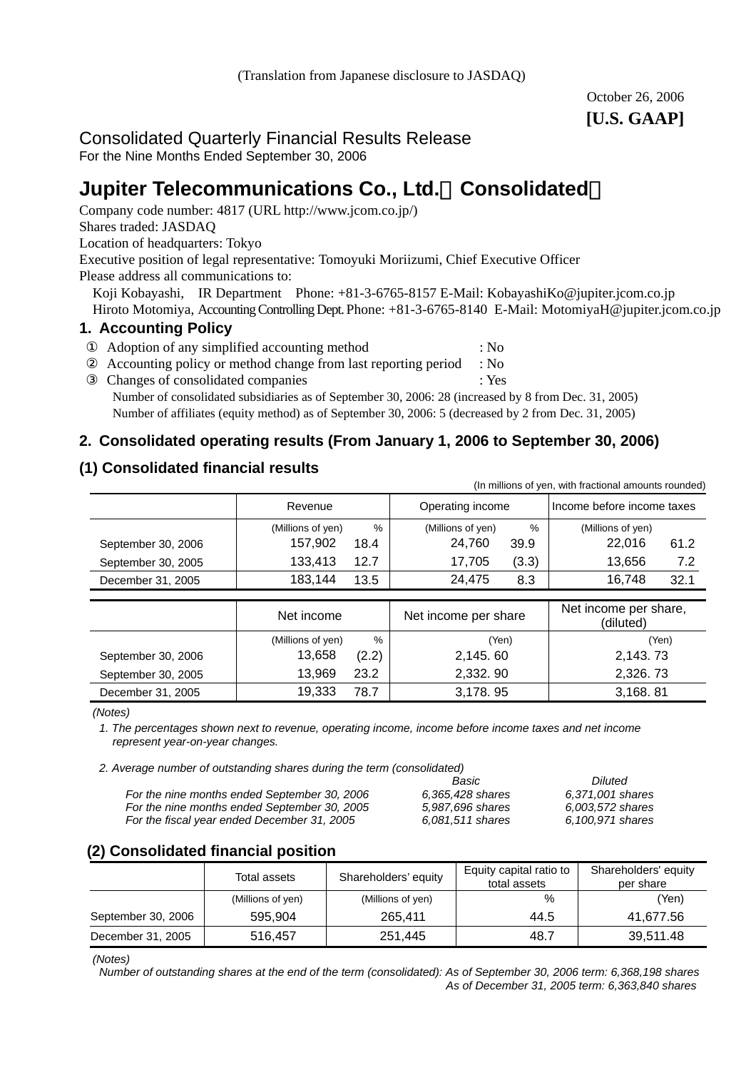October 26, 2006 **[U.S. GAAP]** 

#### Consolidated Quarterly Financial Results Release For the Nine Months Ended September 30, 2006

# **Jupiter Telecommunications Co., Ltd.**(**Consolidated**)

Company code number: 4817 (URL http://www.jcom.co.jp/)

Shares traded: JASDAQ

Location of headquarters: Tokyo

Executive position of legal representative: Tomoyuki Moriizumi, Chief Executive Officer Please address all communications to:

Koji Kobayashi, IR Department Phone: +81-3-6765-8157 E-Mail: KobayashiKo@jupiter.jcom.co.jp

Hiroto Motomiya, Accounting Controlling Dept. Phone: +81-3-6765-8140 E-Mail: MotomiyaH@jupiter.jcom.co.jp

#### **1. Accounting Policy**

Adoption of any simplified accounting method : No Accounting policy or method change from last reporting period : No Changes of consolidated companies : Yes

Number of consolidated subsidiaries as of September 30, 2006: 28 (increased by 8 from Dec. 31, 2005)

Number of affiliates (equity method) as of September 30, 2006: 5 (decreased by 2 from Dec. 31, 2005)

### **2. Consolidated operating results (From January 1, 2006 to September 30, 2006)**

### **(1) Consolidated financial results**

|                    | Revenue                |      | Operating income     |       | Income before income taxes         |       |
|--------------------|------------------------|------|----------------------|-------|------------------------------------|-------|
|                    | (Millions of yen)      | $\%$ | (Millions of yen)    | $\%$  | (Millions of yen)                  |       |
| September 30, 2006 | 157,902                | 18.4 | 24,760               | 39.9  | 22.016                             | 61.2  |
| September 30, 2005 | 133,413                | 12.7 | 17,705               | (3.3) | 13,656                             | 7.2   |
| December 31, 2005  | 183,144                | 13.5 | 24,475               | 8.3   | 16,748                             | 32.1  |
|                    |                        |      |                      |       |                                    |       |
|                    | Net income             |      | Net income per share |       | Net income per share,<br>(diluted) |       |
|                    | %<br>(Millions of yen) |      | (Yen)                |       |                                    | (Yen) |
| September 30, 2006 | 13,658<br>(2.2)        |      | 2.145.60             |       | 2,143.73                           |       |

*(Notes)* 

*1. The percentages shown next to revenue, operating income, income before income taxes and net income represent year-on-year changes.* 

September 30, 2005 | 13,969 23.2 | 2,332. 90 | 2,326. 73 December 31, 2005 | 19,333 78.7 | 3,178. 95 | 3,168. 81

*2. Average number of outstanding shares during the term (consolidated)* 

*For the nine months ended September 30, 2006* 6,365,428 shares 6,371,001 shares *6,971,001* shares *For the nine months ended September 30, 2005* 5,987,696 shares 6,003,572 shares *For the nine months ended September 30, 2005 5,987,696 shares 6,003,572 shares For the fiscal year ended December 31, 2005 6,081,511 shares 6,100,971 shares* 

*Basic Diluted* 

(In millions of yen, with fractional amounts rounded)

## **(2) Consolidated financial position**

|                    | Total assets      | Shareholders' equity | Equity capital ratio to<br>total assets | Shareholders' equity<br>per share |
|--------------------|-------------------|----------------------|-----------------------------------------|-----------------------------------|
|                    | (Millions of yen) | (Millions of yen)    | %                                       | (Yen)                             |
| September 30, 2006 | 595.904           | 265,411              | 44.5                                    | 41.677.56                         |
| December 31, 2005  | 516.457           | 251.445              | 48.7                                    | 39.511.48                         |

*(Notes)* 

*Number of outstanding shares at the end of the term (consolidated): As of September 30, 2006 term: 6,368,198 shares As of December 31, 2005 term: 6,363,840 shares*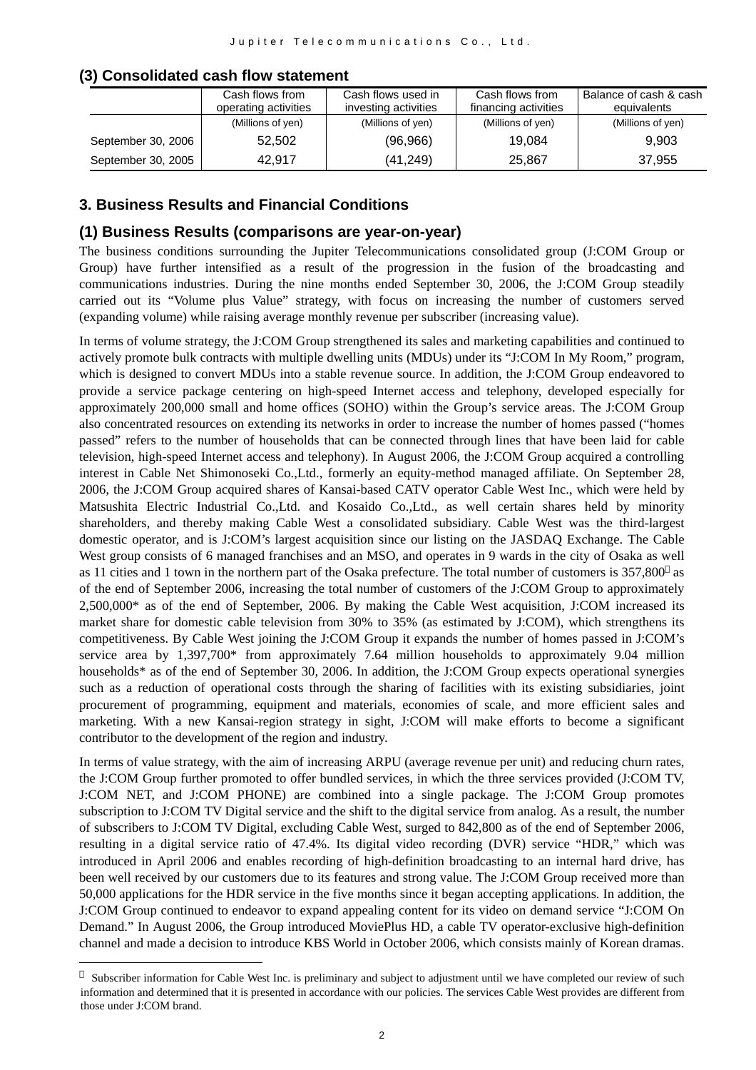|                    | Cash flows from<br>operating activities | Cash flows used in<br>investing activities | Cash flows from<br>financing activities | Balance of cash & cash<br>equivalents |
|--------------------|-----------------------------------------|--------------------------------------------|-----------------------------------------|---------------------------------------|
|                    | (Millions of yen)                       | (Millions of yen)                          | (Millions of yen)                       | (Millions of yen)                     |
| September 30, 2006 | 52.502                                  | (96, 966)                                  | 19.084                                  | 9.903                                 |
| September 30, 2005 | 42.917                                  | (41, 249)                                  | 25,867                                  | 37,955                                |

#### **(3) Consolidated cash flow statement**

#### **3. Business Results and Financial Conditions**

#### **(1) Business Results (comparisons are year-on-year)**

The business conditions surrounding the Jupiter Telecommunications consolidated group (J:COM Group or Group) have further intensified as a result of the progression in the fusion of the broadcasting and communications industries. During the nine months ended September 30, 2006, the J:COM Group steadily carried out its "Volume plus Value" strategy, with focus on increasing the number of customers served (expanding volume) while raising average monthly revenue per subscriber (increasing value).

In terms of volume strategy, the J:COM Group strengthened its sales and marketing capabilities and continued to actively promote bulk contracts with multiple dwelling units (MDUs) under its "J:COM In My Room," program, which is designed to convert MDUs into a stable revenue source. In addition, the J:COM Group endeavored to provide a service package centering on high-speed Internet access and telephony, developed especially for approximately 200,000 small and home offices (SOHO) within the Group's service areas. The J:COM Group also concentrated resources on extending its networks in order to increase the number of homes passed ("homes passed" refers to the number of households that can be connected through lines that have been laid for cable television, high-speed Internet access and telephony). In August 2006, the J:COM Group acquired a controlling interest in Cable Net Shimonoseki Co.,Ltd., formerly an equity-method managed affiliate. On September 28, 2006, the J:COM Group acquired shares of Kansai-based CATV operator Cable West Inc., which were held by Matsushita Electric Industrial Co.,Ltd. and Kosaido Co.,Ltd., as well certain shares held by minority shareholders, and thereby making Cable West a consolidated subsidiary. Cable West was the third-largest domestic operator, and is J:COM's largest acquisition since our listing on the JASDAQ Exchange. The Cable West group consists of 6 managed franchises and an MSO, and operates in 9 wards in the city of Osaka as well as 11 cities and 1 town in the northern part of the Osaka prefecture. The total number of customers is 357,800 as of the end of September 2006, increasing the total number of customers of the J:COM Group to approximately 2,500,000\* as of the end of September, 2006. By making the Cable West acquisition, J:COM increased its market share for domestic cable television from 30% to 35% (as estimated by J:COM), which strengthens its competitiveness. By Cable West joining the J:COM Group it expands the number of homes passed in J:COM's service area by 1,397,700\* from approximately 7.64 million households to approximately 9.04 million households\* as of the end of September 30, 2006. In addition, the J:COM Group expects operational synergies such as a reduction of operational costs through the sharing of facilities with its existing subsidiaries, joint procurement of programming, equipment and materials, economies of scale, and more efficient sales and marketing. With a new Kansai-region strategy in sight, J:COM will make efforts to become a significant contributor to the development of the region and industry.

In terms of value strategy, with the aim of increasing ARPU (average revenue per unit) and reducing churn rates, the J:COM Group further promoted to offer bundled services, in which the three services provided (J:COM TV, J:COM NET, and J:COM PHONE) are combined into a single package. The J:COM Group promotes subscription to J:COM TV Digital service and the shift to the digital service from analog. As a result, the number of subscribers to J:COM TV Digital, excluding Cable West, surged to 842,800 as of the end of September 2006, resulting in a digital service ratio of 47.4%. Its digital video recording (DVR) service "HDR," which was introduced in April 2006 and enables recording of high-definition broadcasting to an internal hard drive, has been well received by our customers due to its features and strong value. The J:COM Group received more than 50,000 applications for the HDR service in the five months since it began accepting applications. In addition, the J:COM Group continued to endeavor to expand appealing content for its video on demand service "J:COM On Demand." In August 2006, the Group introduced MoviePlus HD, a cable TV operator-exclusive high-definition channel and made a decision to introduce KBS World in October 2006, which consists mainly of Korean dramas.

 $\overline{a}$ 

Subscriber information for Cable West Inc. is preliminary and subject to adjustment until we have completed our review of such information and determined that it is presented in accordance with our policies. The services Cable West provides are different from those under J:COM brand.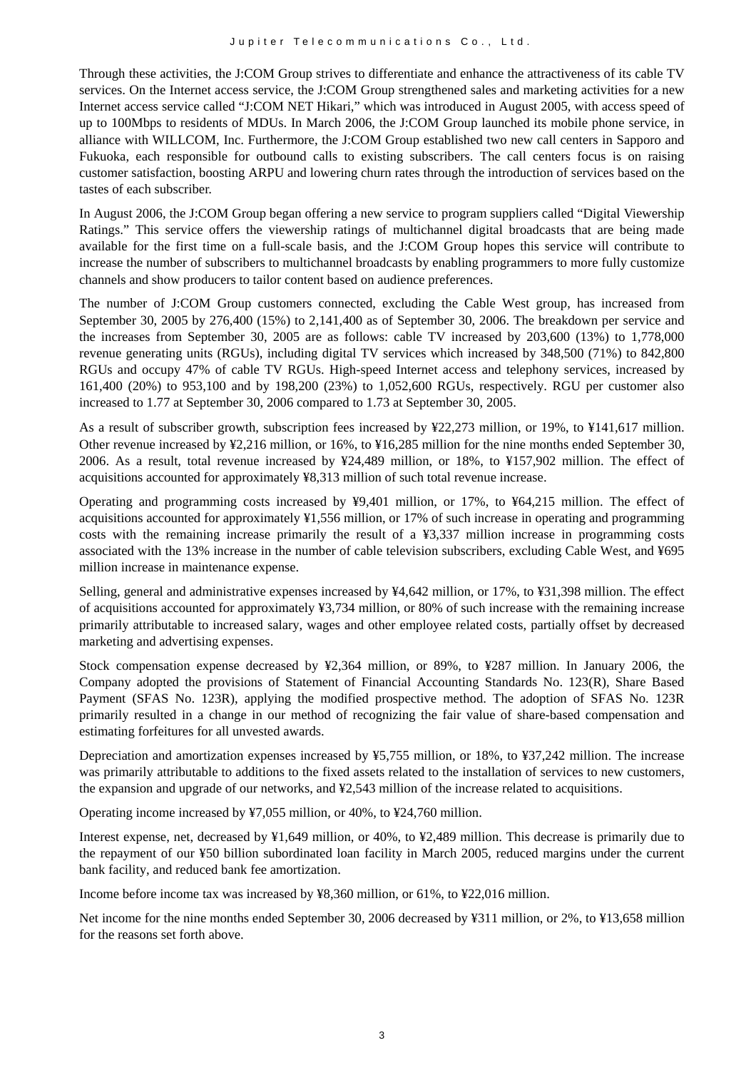Through these activities, the J:COM Group strives to differentiate and enhance the attractiveness of its cable TV services. On the Internet access service, the J:COM Group strengthened sales and marketing activities for a new Internet access service called "J:COM NET Hikari," which was introduced in August 2005, with access speed of up to 100Mbps to residents of MDUs. In March 2006, the J:COM Group launched its mobile phone service, in alliance with WILLCOM, Inc. Furthermore, the J:COM Group established two new call centers in Sapporo and Fukuoka, each responsible for outbound calls to existing subscribers. The call centers focus is on raising customer satisfaction, boosting ARPU and lowering churn rates through the introduction of services based on the tastes of each subscriber.

In August 2006, the J:COM Group began offering a new service to program suppliers called "Digital Viewership Ratings." This service offers the viewership ratings of multichannel digital broadcasts that are being made available for the first time on a full-scale basis, and the J:COM Group hopes this service will contribute to increase the number of subscribers to multichannel broadcasts by enabling programmers to more fully customize channels and show producers to tailor content based on audience preferences.

The number of J:COM Group customers connected, excluding the Cable West group, has increased from September 30, 2005 by 276,400 (15%) to 2,141,400 as of September 30, 2006. The breakdown per service and the increases from September 30, 2005 are as follows: cable TV increased by 203,600 (13%) to 1,778,000 revenue generating units (RGUs), including digital TV services which increased by 348,500 (71%) to 842,800 RGUs and occupy 47% of cable TV RGUs. High-speed Internet access and telephony services, increased by 161,400 (20%) to 953,100 and by 198,200 (23%) to 1,052,600 RGUs, respectively. RGU per customer also increased to 1.77 at September 30, 2006 compared to 1.73 at September 30, 2005.

As a result of subscriber growth, subscription fees increased by ¥22,273 million, or 19%, to ¥141,617 million. Other revenue increased by ¥2,216 million, or 16%, to ¥16,285 million for the nine months ended September 30, 2006. As a result, total revenue increased by ¥24,489 million, or 18%, to ¥157,902 million. The effect of acquisitions accounted for approximately ¥8,313 million of such total revenue increase.

Operating and programming costs increased by ¥9,401 million, or 17%, to ¥64,215 million. The effect of acquisitions accounted for approximately ¥1,556 million, or 17% of such increase in operating and programming costs with the remaining increase primarily the result of a ¥3,337 million increase in programming costs associated with the 13% increase in the number of cable television subscribers, excluding Cable West, and ¥695 million increase in maintenance expense.

Selling, general and administrative expenses increased by ¥4,642 million, or 17%, to ¥31,398 million. The effect of acquisitions accounted for approximately ¥3,734 million, or 80% of such increase with the remaining increase primarily attributable to increased salary, wages and other employee related costs, partially offset by decreased marketing and advertising expenses.

Stock compensation expense decreased by ¥2,364 million, or 89%, to ¥287 million. In January 2006, the Company adopted the provisions of Statement of Financial Accounting Standards No. 123(R), Share Based Payment (SFAS No. 123R), applying the modified prospective method. The adoption of SFAS No. 123R primarily resulted in a change in our method of recognizing the fair value of share-based compensation and estimating forfeitures for all unvested awards.

Depreciation and amortization expenses increased by ¥5,755 million, or 18%, to ¥37,242 million. The increase was primarily attributable to additions to the fixed assets related to the installation of services to new customers, the expansion and upgrade of our networks, and ¥2,543 million of the increase related to acquisitions.

Operating income increased by ¥7,055 million, or 40%, to ¥24,760 million.

Interest expense, net, decreased by ¥1,649 million, or 40%, to ¥2,489 million. This decrease is primarily due to the repayment of our ¥50 billion subordinated loan facility in March 2005, reduced margins under the current bank facility, and reduced bank fee amortization.

Income before income tax was increased by ¥8,360 million, or 61%, to ¥22,016 million.

Net income for the nine months ended September 30, 2006 decreased by ¥311 million, or 2%, to ¥13,658 million for the reasons set forth above.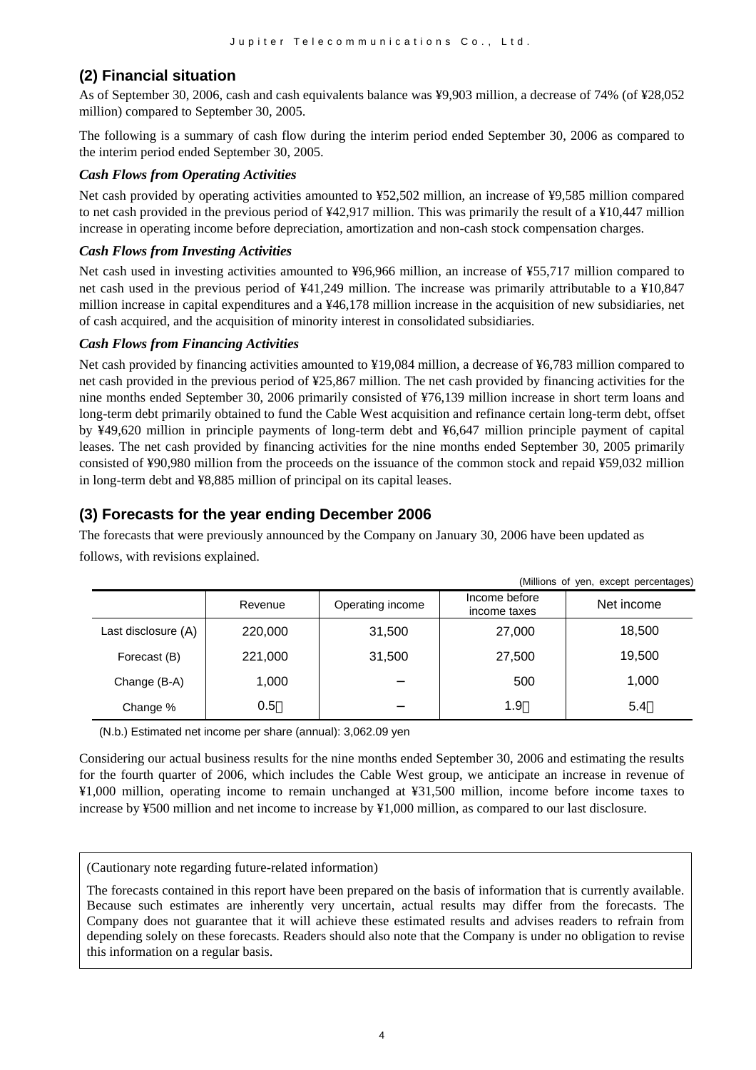## **(2) Financial situation**

As of September 30, 2006, cash and cash equivalents balance was ¥9,903 million, a decrease of 74% (of ¥28,052 million) compared to September 30, 2005.

The following is a summary of cash flow during the interim period ended September 30, 2006 as compared to the interim period ended September 30, 2005.

#### *Cash Flows from Operating Activities*

Net cash provided by operating activities amounted to ¥52,502 million, an increase of ¥9,585 million compared to net cash provided in the previous period of ¥42,917 million. This was primarily the result of a ¥10,447 million increase in operating income before depreciation, amortization and non-cash stock compensation charges.

#### *Cash Flows from Investing Activities*

Net cash used in investing activities amounted to ¥96,966 million, an increase of ¥55,717 million compared to net cash used in the previous period of ¥41,249 million. The increase was primarily attributable to a ¥10,847 million increase in capital expenditures and a ¥46,178 million increase in the acquisition of new subsidiaries, net of cash acquired, and the acquisition of minority interest in consolidated subsidiaries.

#### *Cash Flows from Financing Activities*

Net cash provided by financing activities amounted to ¥19,084 million, a decrease of ¥6,783 million compared to net cash provided in the previous period of ¥25,867 million. The net cash provided by financing activities for the nine months ended September 30, 2006 primarily consisted of ¥76,139 million increase in short term loans and long-term debt primarily obtained to fund the Cable West acquisition and refinance certain long-term debt, offset by ¥49,620 million in principle payments of long-term debt and ¥6,647 million principle payment of capital leases. The net cash provided by financing activities for the nine months ended September 30, 2005 primarily consisted of ¥90,980 million from the proceeds on the issuance of the common stock and repaid ¥59,032 million in long-term debt and ¥8,885 million of principal on its capital leases.

### **(3) Forecasts for the year ending December 2006**

The forecasts that were previously announced by the Company on January 30, 2006 have been updated as follows, with revisions explained.

|                     |         |                  |                               | (Millions of yen, except percentages) |
|---------------------|---------|------------------|-------------------------------|---------------------------------------|
|                     | Revenue | Operating income | Income before<br>income taxes | Net income                            |
| Last disclosure (A) | 220,000 | 31,500           | 27,000                        | 18,500                                |
| Forecast (B)        | 221,000 | 31,500           | 27,500                        | 19,500                                |
| Change (B-A)        | 1,000   |                  | 500                           | 1,000                                 |
| Change %            | 0.5     |                  | 1.9                           | 5.4                                   |

(N.b.) Estimated net income per share (annual): 3,062.09 yen

Considering our actual business results for the nine months ended September 30, 2006 and estimating the results for the fourth quarter of 2006, which includes the Cable West group, we anticipate an increase in revenue of ¥1,000 million, operating income to remain unchanged at ¥31,500 million, income before income taxes to increase by ¥500 million and net income to increase by ¥1,000 million, as compared to our last disclosure.

(Cautionary note regarding future-related information)

The forecasts contained in this report have been prepared on the basis of information that is currently available. Because such estimates are inherently very uncertain, actual results may differ from the forecasts. The Company does not guarantee that it will achieve these estimated results and advises readers to refrain from depending solely on these forecasts. Readers should also note that the Company is under no obligation to revise this information on a regular basis.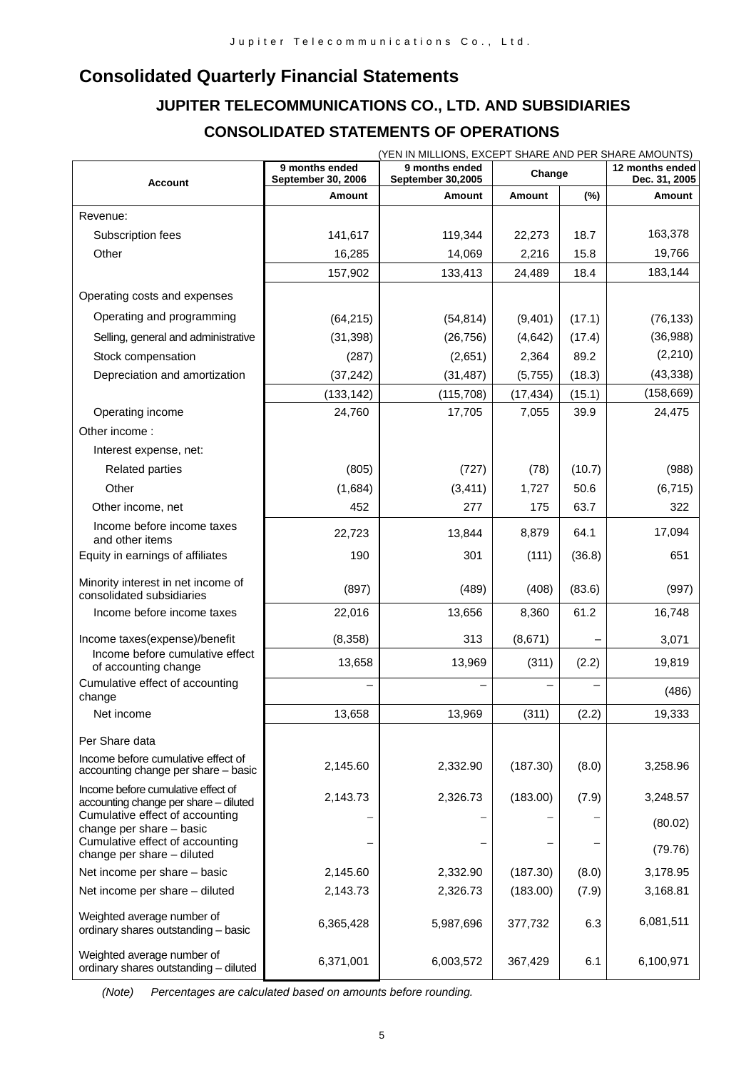## **Consolidated Quarterly Financial Statements**

# **JUPITER TELECOMMUNICATIONS CO., LTD. AND SUBSIDIARIES CONSOLIDATED STATEMENTS OF OPERATIONS**

|                                                                             | (YEN IN MILLIONS, EXCEPT SHARE AND PER SHARE AMOUNTS) |                                     |               |        |                                  |
|-----------------------------------------------------------------------------|-------------------------------------------------------|-------------------------------------|---------------|--------|----------------------------------|
| <b>Account</b>                                                              | 9 months ended<br>September 30, 2006                  | 9 months ended<br>September 30,2005 | Change        |        | 12 months ended<br>Dec. 31, 2005 |
|                                                                             | Amount                                                | <b>Amount</b>                       | <b>Amount</b> | (%)    | Amount                           |
| Revenue:                                                                    |                                                       |                                     |               |        |                                  |
| Subscription fees                                                           | 141,617                                               | 119,344                             | 22,273        | 18.7   | 163,378                          |
| Other                                                                       | 16,285                                                | 14,069                              | 2,216         | 15.8   | 19,766                           |
|                                                                             | 157,902                                               | 133,413                             | 24,489        | 18.4   | 183,144                          |
| Operating costs and expenses                                                |                                                       |                                     |               |        |                                  |
| Operating and programming                                                   | (64, 215)                                             | (54, 814)                           | (9,401)       | (17.1) | (76, 133)                        |
| Selling, general and administrative                                         | (31, 398)                                             | (26, 756)                           | (4,642)       | (17.4) | (36, 988)                        |
| Stock compensation                                                          | (287)                                                 | (2,651)                             | 2,364         | 89.2   | (2, 210)                         |
| Depreciation and amortization                                               | (37, 242)                                             | (31, 487)                           | (5,755)       | (18.3) | (43, 338)                        |
|                                                                             | (133, 142)                                            | (115, 708)                          | (17, 434)     | (15.1) | (158, 669)                       |
| Operating income                                                            | 24,760                                                | 17,705                              | 7,055         | 39.9   | 24,475                           |
| Other income:                                                               |                                                       |                                     |               |        |                                  |
| Interest expense, net:                                                      |                                                       |                                     |               |        |                                  |
| <b>Related parties</b>                                                      | (805)                                                 | (727)                               | (78)          | (10.7) | (988)                            |
| Other                                                                       | (1,684)                                               | (3, 411)                            | 1,727         | 50.6   | (6, 715)                         |
| Other income, net                                                           | 452                                                   | 277                                 | 175           | 63.7   | 322                              |
| Income before income taxes<br>and other items                               | 22,723                                                | 13,844                              | 8,879         | 64.1   | 17,094                           |
| Equity in earnings of affiliates                                            | 190                                                   | 301                                 | (111)         | (36.8) | 651                              |
| Minority interest in net income of<br>consolidated subsidiaries             | (897)                                                 | (489)                               | (408)         | (83.6) | (997)                            |
| Income before income taxes                                                  | 22,016                                                | 13,656                              | 8,360         | 61.2   | 16,748                           |
| Income taxes(expense)/benefit                                               | (8,358)                                               | 313                                 | (8,671)       |        | 3,071                            |
| Income before cumulative effect<br>of accounting change                     | 13,658                                                | 13,969                              | (311)         | (2.2)  | 19,819                           |
| Cumulative effect of accounting<br>change                                   |                                                       |                                     |               |        | (486)                            |
| Net income                                                                  | 13,658                                                | 13,969                              | (311)         | (2.2)  | 19,333                           |
| Per Share data                                                              |                                                       |                                     |               |        |                                  |
| Income before cumulative effect of<br>accounting change per share - basic   | 2,145.60                                              | 2,332.90                            | (187.30)      | (8.0)  | 3,258.96                         |
| Income before cumulative effect of<br>accounting change per share - diluted | 2,143.73                                              | 2,326.73                            | (183.00)      | (7.9)  | 3,248.57                         |
| Cumulative effect of accounting<br>change per share - basic                 |                                                       |                                     |               |        | (80.02)                          |
| Cumulative effect of accounting<br>change per share - diluted               |                                                       |                                     |               |        | (79.76)                          |
| Net income per share - basic                                                | 2,145.60                                              | 2,332.90                            | (187.30)      | (8.0)  | 3,178.95                         |
| Net income per share - diluted                                              | 2,143.73                                              | 2,326.73                            | (183.00)      | (7.9)  | 3,168.81                         |
| Weighted average number of<br>ordinary shares outstanding - basic           | 6,365,428                                             | 5,987,696                           | 377,732       | 6.3    | 6,081,511                        |
| Weighted average number of<br>ordinary shares outstanding - diluted         | 6,371,001                                             | 6,003,572                           | 367,429       | 6.1    | 6,100,971                        |

*(Note) Percentages are calculated based on amounts before rounding.*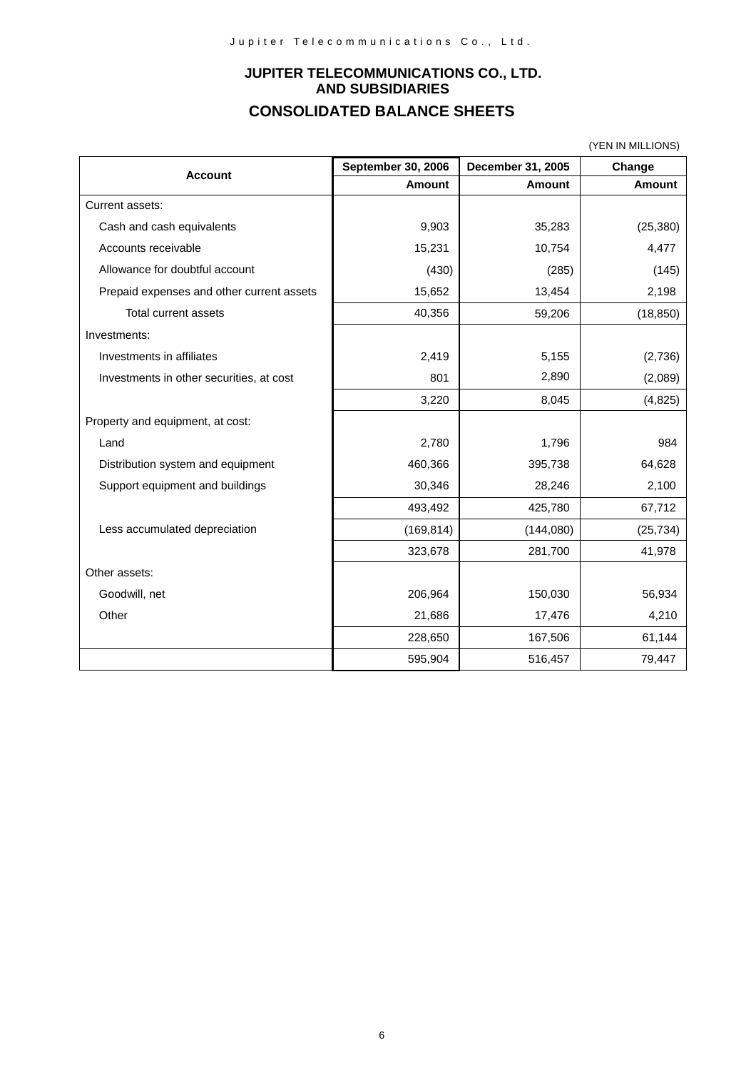## **JUPITER TELECOMMUNICATIONS CO., LTD. AND SUBSIDIARIES CONSOLIDATED BALANCE SHEETS**

(YEN IN MILLIONS)

|                                           | September 30, 2006 | December 31, 2005 | Change    |
|-------------------------------------------|--------------------|-------------------|-----------|
| <b>Account</b>                            | <b>Amount</b>      | <b>Amount</b>     | Amount    |
| Current assets:                           |                    |                   |           |
| Cash and cash equivalents                 | 9,903              | 35,283            | (25, 380) |
| Accounts receivable                       | 15,231             | 10,754            | 4,477     |
| Allowance for doubtful account            | (430)              | (285)             | (145)     |
| Prepaid expenses and other current assets | 15,652             | 13,454            | 2,198     |
| <b>Total current assets</b>               | 40,356             | 59,206            | (18, 850) |
| Investments:                              |                    |                   |           |
| Investments in affiliates                 | 2,419              | 5,155             | (2,736)   |
| Investments in other securities, at cost  | 801                | 2,890             | (2,089)   |
|                                           | 3,220              | 8,045             | (4, 825)  |
| Property and equipment, at cost:          |                    |                   |           |
| Land                                      | 2,780              | 1,796             | 984       |
| Distribution system and equipment         | 460,366            | 395,738           | 64,628    |
| Support equipment and buildings           | 30,346             | 28,246            | 2,100     |
|                                           | 493,492            | 425,780           | 67,712    |
| Less accumulated depreciation             | (169, 814)         | (144,080)         | (25, 734) |
|                                           | 323,678            | 281,700           | 41,978    |
| Other assets:                             |                    |                   |           |
| Goodwill, net                             | 206,964            | 150,030           | 56,934    |
| Other                                     | 21,686             | 17,476            | 4,210     |
|                                           | 228,650            | 167,506           | 61,144    |
|                                           | 595,904            | 516,457           | 79,447    |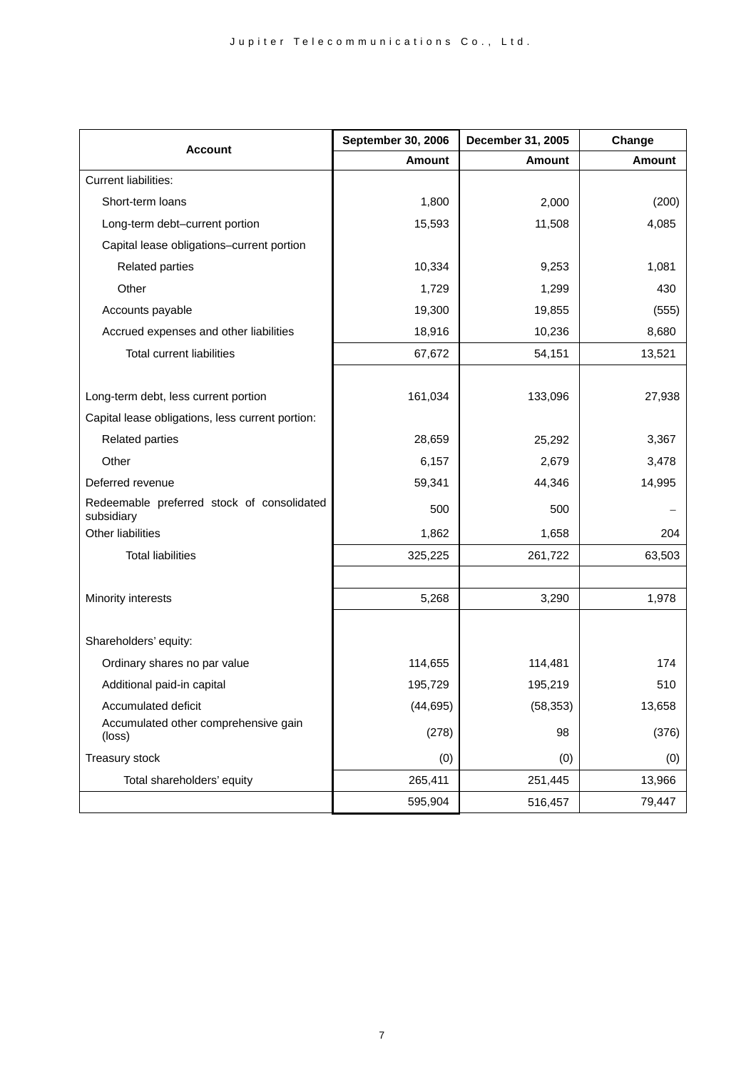| <b>Account</b>                                           | September 30, 2006 | December 31, 2005 | Change        |
|----------------------------------------------------------|--------------------|-------------------|---------------|
|                                                          | <b>Amount</b>      | <b>Amount</b>     | <b>Amount</b> |
| <b>Current liabilities:</b>                              |                    |                   |               |
| Short-term loans                                         | 1,800              | 2,000             | (200)         |
| Long-term debt-current portion                           | 15,593             | 11,508            | 4,085         |
| Capital lease obligations-current portion                |                    |                   |               |
| <b>Related parties</b>                                   | 10,334             | 9,253             | 1,081         |
| Other                                                    | 1,729              | 1,299             | 430           |
| Accounts payable                                         | 19,300             | 19,855            | (555)         |
| Accrued expenses and other liabilities                   | 18,916             | 10,236            | 8,680         |
| <b>Total current liabilities</b>                         | 67,672             | 54,151            | 13,521        |
|                                                          |                    |                   |               |
| Long-term debt, less current portion                     | 161,034            | 133,096           | 27,938        |
| Capital lease obligations, less current portion:         |                    |                   |               |
| <b>Related parties</b>                                   | 28,659             | 25,292            | 3,367         |
| Other                                                    | 6,157              | 2,679             | 3,478         |
| Deferred revenue                                         | 59,341             | 44,346            | 14,995        |
| Redeemable preferred stock of consolidated<br>subsidiary | 500                | 500               |               |
| Other liabilities                                        | 1,862              | 1,658             | 204           |
| <b>Total liabilities</b>                                 | 325,225            | 261,722           | 63,503        |
|                                                          |                    |                   |               |
| Minority interests                                       | 5,268              | 3,290             | 1,978         |
|                                                          |                    |                   |               |
| Shareholders' equity:                                    |                    |                   |               |
| Ordinary shares no par value                             | 114,655            | 114,481           | 174           |
| Additional paid-in capital                               | 195,729            | 195,219           | 510           |
| Accumulated deficit                                      | (44, 695)          | (58, 353)         | 13,658        |
| Accumulated other comprehensive gain<br>(loss)           | (278)              | 98                | (376)         |
| Treasury stock                                           | (0)                | (0)               | (0)           |
| Total shareholders' equity                               | 265,411            | 251,445           | 13,966        |
|                                                          | 595,904            | 516,457           | 79,447        |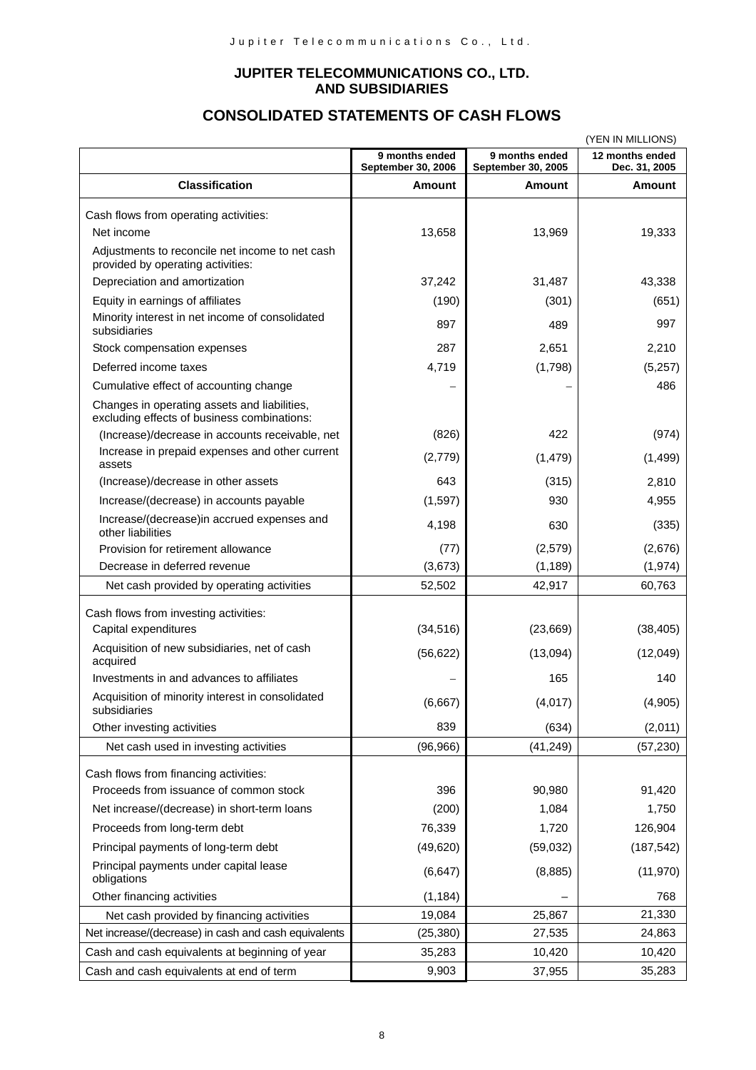#### **JUPITER TELECOMMUNICATIONS CO., LTD. AND SUBSIDIARIES**

## **CONSOLIDATED STATEMENTS OF CASH FLOWS**

| (YEN IN MILLIONS)                                                                           |                                      |                                      |                                  |
|---------------------------------------------------------------------------------------------|--------------------------------------|--------------------------------------|----------------------------------|
|                                                                                             | 9 months ended<br>September 30, 2006 | 9 months ended<br>September 30, 2005 | 12 months ended<br>Dec. 31, 2005 |
| <b>Classification</b>                                                                       | Amount                               | <b>Amount</b>                        | <b>Amount</b>                    |
| Cash flows from operating activities:                                                       |                                      |                                      |                                  |
| Net income                                                                                  | 13,658                               | 13,969                               | 19,333                           |
| Adjustments to reconcile net income to net cash<br>provided by operating activities:        |                                      |                                      |                                  |
| Depreciation and amortization                                                               | 37,242                               | 31,487                               | 43,338                           |
| Equity in earnings of affiliates                                                            | (190)                                | (301)                                | (651)                            |
| Minority interest in net income of consolidated<br>subsidiaries                             | 897                                  | 489                                  | 997                              |
| Stock compensation expenses                                                                 | 287                                  | 2,651                                | 2,210                            |
| Deferred income taxes                                                                       | 4,719                                | (1,798)                              | (5,257)                          |
| Cumulative effect of accounting change                                                      |                                      |                                      | 486                              |
| Changes in operating assets and liabilities,<br>excluding effects of business combinations: |                                      |                                      |                                  |
| (Increase)/decrease in accounts receivable, net                                             | (826)                                | 422                                  | (974)                            |
| Increase in prepaid expenses and other current<br>assets                                    | (2,779)                              | (1, 479)                             | (1, 499)                         |
| (Increase)/decrease in other assets                                                         | 643                                  | (315)                                | 2,810                            |
| Increase/(decrease) in accounts payable                                                     | (1,597)                              | 930                                  | 4,955                            |
| Increase/(decrease)in accrued expenses and<br>other liabilities                             | 4,198                                | 630                                  | (335)                            |
| Provision for retirement allowance                                                          | (77)                                 | (2,579)                              | (2,676)                          |
| Decrease in deferred revenue                                                                | (3,673)                              | (1, 189)                             | (1, 974)                         |
| Net cash provided by operating activities                                                   | 52,502                               | 42,917                               | 60,763                           |
| Cash flows from investing activities:                                                       |                                      |                                      |                                  |
| Capital expenditures                                                                        | (34, 516)                            | (23, 669)                            | (38, 405)                        |
| Acquisition of new subsidiaries, net of cash<br>acquired                                    | (56, 622)                            | (13,094)                             | (12,049)                         |
| Investments in and advances to affiliates                                                   |                                      | 165                                  | 140                              |
| Acquisition of minority interest in consolidated<br>subsidiaries                            | (6,667)                              | (4,017)                              | (4,905)                          |
| Other investing activities                                                                  | 839                                  | (634)                                | (2,011)                          |
| Net cash used in investing activities                                                       | (96, 966)                            | (41, 249)                            | (57, 230)                        |
| Cash flows from financing activities:                                                       |                                      |                                      |                                  |
| Proceeds from issuance of common stock                                                      | 396                                  | 90,980                               | 91,420                           |
| Net increase/(decrease) in short-term loans                                                 | (200)                                | 1,084                                | 1,750                            |
| Proceeds from long-term debt                                                                | 76,339                               | 1,720                                | 126,904                          |
| Principal payments of long-term debt                                                        | (49, 620)                            | (59,032)                             | (187, 542)                       |
| Principal payments under capital lease<br>obligations                                       | (6,647)                              | (8,885)                              | (11, 970)                        |
| Other financing activities                                                                  | (1, 184)                             |                                      | 768                              |
| Net cash provided by financing activities                                                   | 19,084                               | 25,867                               | 21,330                           |
| Net increase/(decrease) in cash and cash equivalents                                        | (25, 380)                            | 27,535                               | 24,863                           |
| Cash and cash equivalents at beginning of year                                              | 35,283                               | 10,420                               | 10,420                           |
| Cash and cash equivalents at end of term                                                    | 9,903                                | 37,955                               | 35,283                           |